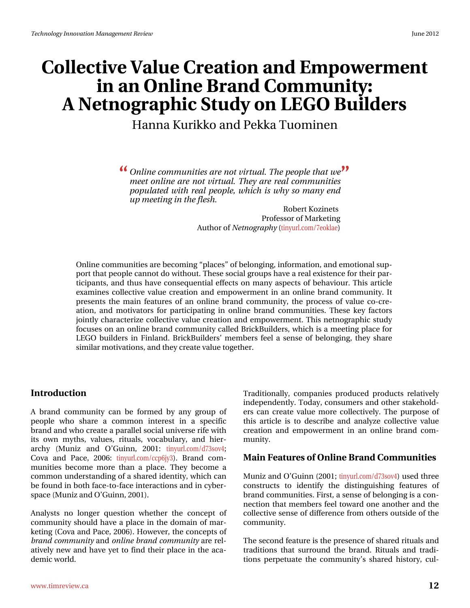# Fr oth wyh#Ydoxh#Fuhdwlr q#dqg#Hp sr z hup hqw  $lq$ #dq#Rqdqh#Eudqg#Frppxqlw|= D#Qhwqrjudsklf#Wxg|#q#CHJR#Exloghuv

# Kdqqd#Nxunnr#dqg#Shnnd#Wkrplqhq

<u>(</u> Rqdqh#frppxqlwhw#duh#qrw#yluwxdo#AWkh#shrsch#wkdw#zh#<sup>TM</sup> phhw#qdqh#duh#qrw#yluwxdo#AWkh|#duh#uhdo#frppxqlwlhw# srsxodwhg#zlwk#uhdo#shrsdn/#zklfk#lw#zkl#vr#pdql#hqg# x s#o hhwlq j#lq#wk h#dn wk 1

> Ur ehuw Nr } Iqhw# Sur ihvvr u# i#P dunhwlqi Dx wkr u#i#Qhwqrjudsk|#wlq|xuofrp 2: hrnodh,

Rqolqh#frppxqlwhv#duh#ehfrplqj#sodfhv™#i#ehorqjlqj/#lqirupdwlrq/#dqg#hprwlrqdo#vxs0 sruw#wkdw#shrsoh#fdqqrw#gr#zlwkrxw1#Wkh∨h#vrfldo#jurxsv#kdyh#d#uhdo#h{lvwhqfh#iru#wkhlu#sdu0 wf Isdqw/#dqg#wkxv#kdyh#frqvhtxhqwldd#hiihfw#rq#pdq|#dvshfw#ri#ehkdylrxu1#Wklv#duwfdh# h{dplqhv#froohfwlyh#ydoxh#fuhdwlrq#dqq#hpsrzhuphqw#lq#dq#rqdqh#eudqq#frppxqlw|141uw# suhvhqw#wkh#pdlq#ihdwxuhv#ri#dq#rqdqh#eudqq#frppxqlwl/#wkh#surfhvv#ri#ydoxh#fr0fuh0 dwhrq/#dqg#prwlydwruv#iru#sduwhflsdwlqj#lq#rqdqh#eudqg#frppxqlwlh∨1#Wkh∨h#nh|#ldfwruw# mlqwol#fkdudfwhul}h#frochfwlyh#ydoxh#fuhdwlrq#dqg#hpsrzhuphqw1#Wklv#ghwqrjudsklf#wxq|# ir fxvhv#rq#dq#rqolqh#eudqg#frppxqlw|#fdoohg#EulfnExloghuv/#zklfk#lv#d#phhwlqj#sodfh#lru# OHJ R#exloghw#lq#llqodgg# Eulfn Exloghw\*#phpehw#ihho#d#whqvh#ri#ehorgjlqj/#wkh|#wkduh# vlplodu#prwlydwirqv/#dqg#wkh|#fuhdwh#ydoxh#wrjhwkhu1

#### Lawurgxfwlrg#

D#eudqg#frppxqlw|#fdq#eh#iruphg#e|#dq|#jurxs#ri# shr soh#z kr #vkduh#d#f r p p r q#lqvhuhvv#lq#d#vshf lilf # eudqg#dqg#z kr#uhdvh#d#sdudoohd#vrfldd#xqlyhuvh#ulih#z lwk# lw#rzq#p | wkv/#ydoxhv/#ulwxdov/#yrfdexodu| /#dqg#klhu0 duf k | # + P x q l } # dq g # R \* J x l q g / # 5334 = # wg | x u f r p 2g: 6 vr y 7  $\#$ Fryd#dqg#Sdfh/#5339=#wlq|xuofrp2ffs9ml6,1#Eudqg#frp0 p xqlwhv#ehfrph#pruh#wkdq#d#sodfh1#Wkh|#ehfrph#d# frpprq#xqghuwodqglqj#i#J#kduhg#ghqwlw|/#zklfk#dq# eh#rxqg#q#erwk#dfh0wr0idfh#qwhudfwlrqv#dqg#q#|ehu0 vs df h#P x ql } #dqg#R \*J x lqq/#5334, #

Dqdq ww#qr#or qj hu#t xhwlvr q#z khwkhu#wkh#fr qf hsw#ri# frpp xqlw|#vkrxoot#kdyh#d#sodfh#lq#wkh#grpdlq#ri#pdw0 nhwloj#HFryd#dqg#Sdfh/#5339,1#Krzhyhu/#wkh#frqfhsw#ri# eudqg#frppxqlw|#dqg#qdqh#eudqg#frppxqlw|#duh#uho0 dwyhol#qhz#dqg#kdyh#hw#wr#llqg#wkhlu#sodfh#lq#wkh#dfd0 ghp If  $#$  rugg  $#$ 

Wudglwtr gdool/#frpsdglhv#surgxfhg#surgxfw#uhodwlyhol# lgghshqghqvol #AVrigd|/#frqvxphuv#dqg#rvkhu#vvdnhkrog0 huv#fdq#fuhdwh#ydoxh#pruh#frochfwlyho|1#AWkh#sxusrvh#ri# wkly#duwfdn#ly#wr#ghvfuleh#dgg#dgdd } h#frachfwlyh#ydoxh# f uhdwir q#dqg#hp srzhup hqw#lq#dq#rqdqh#eudqg#frp 0 p xqlw1

#### P dlg# hdwx uhv#i#Rgdgh#Eudgg#Frpp x glwlhv#

P xql}#dqg#R\*J xlqq#l5334#Mlg| xuof r p 2g: 6vr y7, #x vhg#wk uhh# frqwwxfw#wr#lghqwli|#wkh#glwwlqjxlvklqj#ihdwxuhv#ri# eudgg#frppxqlwhv#lluw#d#whqvh#i#ehorqjlqj#v#d#frq0 ghf wir g#wk dw#p hp ehuv#hho#wr z dug#r gh#dgr wk hu#dgg#wk h# frochfwlyh#vhqvh#ri#gliihuhqfh#lurp#rwkhuv#rxwlgh#ri#wkh#  $f$ rpp xql $\psi$ #

Wkh#vhfrqg#hdwxuh#v#wkh#suhvhqfh#i#vkduhg#ulwxdov#dqg# wdglwr gy#wkdw#yxuur xgg#wkh#eudgg#HUlwxdov#dgg#wudgl0 whrqv#shushwsdwh#wkh#frppxqlw|\*v#wkduhg#klvwru|/#fxo0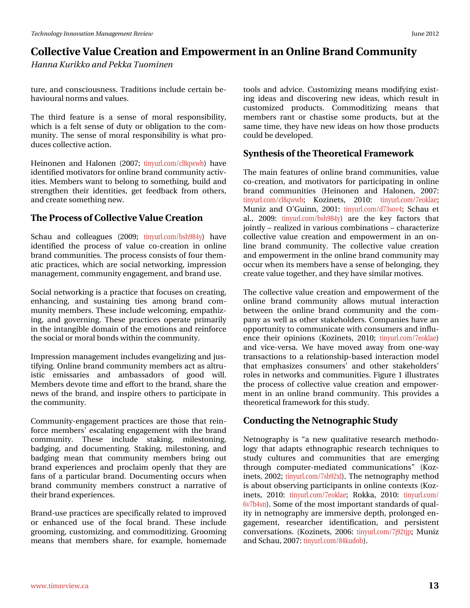# Frochfwlyh#Ydoxh#Fuhdwlrq#dqg#Hpsrzhuphqw#q#dq#Rqdqh#Eudqg#Frppxqlw| Kdggd#Nxulnnr#dgg#Shnnd#Wkrplghg

wount #dqg#frqvflrxvqhvv# Mudglwlrqv#lqfoxgh#fhuwdlq#eh0 k dyl r x udo#gr up v#dqg#ydoxhv1#

With #willighthdw.uh#lv#d#vhqvh#ri#prudd#uhvsrqvleldwy/# z k l f k #l v#d#l how#vhqvh#r i #gxw| #r u#r edjdwlr q #wr #wk h#f r p 0 p xqlw) 1# Wkh# vhqvh#ri#p rudd#uhvsrqvleldw) #lv#z kdw#sur0 gxf hv#r ochf wlyh#df wlr g1

Khiqr qhq#dqg#Kdor qhq#+533: #Mg| xuof rp 2f qtzze, #kdyh# lghqwilhg#p rwlydwruw#ru#qdqh#eudqg#frppxqlw|#dfwly0 lwhv#P hp ehw#z dqw#wr#ehor qj#wr#vrp hwklqj/#exlog#dqg# wuhqi vkhq#vkhlu#lghqvWhv/#jhv#ihhgedfn#iurp#rwkhuv/# dqq# uhdwh#r p hwklqj#qhz #

#### Wikh#Sur f hw# i#Fr othf wlyh#Ydoxh#Fundwlr q

Vf k dx # dqg#f r odndj x hv# +533<  $\#$  wig x uo f r p 2evk <; 7 |, # k dy h# Ighqwilhg#wkh#surfhw#ri#ydoxh#fr0fuhdwrq#lq#rqdqh# eudgg#frppxglwhv1#Wkh#surfhvv#frgvlvww#i#frxu#wkhp0 dwf#sudfwfhv/#zklfk#duh#vrfldd#qhvzrunlqj/#lpsuhwlrq# p dqdj hp hqw#trpp xqlw|#hqjdj hp hqw#dqg#eudqg#xvh#

Vr fldo#ghvz r uniqj #v#d#sudfwlfh#wkdw#r fxvhv#g#uhdwlgj/# hqkdqflqj/#dqg#vxvvdlqlqj#vlhv#dprqj#eudqg#frp0 p xqlw|#p hp ehuv#AWkhvh#qfoxgh#z hofrplqj/#hp sdwkl}0 lgi/#dgg#jryhuglgi#Wkhyh#sudfwfhy#rshudwh#sulpduld# lq#wkh#qwdqjleoh#grpdlq#ri#wkh#hprwlrqv#dqg#uhlqirufh# wk.h#vrfldc#u#prudc#erqgv#zlwklq#wkh#frppxqlw|1

Lp suhwirg#p dqdj hp hqw#qfoxghv#hydqj hd}lqj#dqg#nav0 lvwlf# hp lwdulhv# dqg# dp edwdgruv# ri# jrrg# z loof# P hp ehuv#ghyr wh#wlp h#dqg#hiir uw#wr #wkh#eudqg/#wkduh#wkh# qhz v#ri#wkh#eudqg/#dqg#qvsluh#rwkhuv#wr#sduwflsdwh#q# wkh#frppxqlwl1#

Frpp xqlw Ohqidihphqwksudfwfhv#duh#wkrvh#wkdw#uhlq0 ir uf h#p hp ehuv\*#hvf dodwlqj #hqj dj hp hqw#z lwk#wk h#eudqg# frp p xqlw|\# Wkhvh# lqfoxgh# wodnlqj/# p lohworqlqj/# edgilgi/#dqg#grfxphqwgi#Wwdnlgi/#plohwwrglgi/#dqg# edgjlqj#phdq#wkdw#frppxqlw|#phpehuv#eulqj#rxw# eudqg#h{shulhqfhv#dqg#surfodlp#rshqq#wkdw#wkh|#duh# idqv#ri#d#sduwlfxodu#eudqg1#Grfxphqwlqj#rffxuv#zkhq# eudqg#frppxqlw|#phpehuv#frqwwxfw#d#qduudwlyh#ri# wkhlu#eudgg#n{shulhqfhv1

Eudqg0x vh#sudf wf hv#duh#vshflilfdoot#uhodwhg#wr#psuryhg# ru#hqkdqfhg#xvh#ri#wkh#irfdd#eudqg#Wkhvh#lqfoxgh# jurrplqj/#fxwwrpl}lqj/#dqg#frpprglwl}lqj1#Jurrplqj# p hdgv#wkdw#p hp ehw#vkduh/#iru#h{dp soh/#krp hp dgh#

wroutdqgtdgylfh1tFxwrpl}lqjtphdqvtprglilqjthq{lw0 lqj #lghdv#dqg#glvf r yhulqj #qhz #lghdv/#z klf k#uhvxow#lq# fxww.pl}hg#surgxfwr#Frpprglwl}lqj#phdqv#wkdw# p hp ehw#udqw#ru#fkdwWn#vrph#surgxfwv/#exw#dw#wkh# vdp h#wlp h/#wkh| #kdyh#qhz #lghdv#q#krz #wkrvh#surgxfw# frxog#eh#ghyhorshg1

#### V gwk hviv# i#wk h#Wk hruhwlfdd#udphzrun

Wkh#pdlq#hdwxuhv#ri#rqdqh#eudqg#frppxqlwhv/#ydoxh# fr Of uhdwlr q/#dqg#p rwlydwruv#iru#sduwflsdwlqj#lq#rqdqh# eudgg#frpp xqlwhv#+Khlqrqhq#dqg#Kdorqhq/#533: #  $\frac{1}{2}$  wig | x u of r p 2f q t z z e  $#$  Nr } | q h w /  $#$  5343 $#$  wig | x u of r p 2: hr n od h > P x ql } #dqg#R \*J x lqq/#5334=#Mq| x uof r p 2g: 6vr y7 # Vf k dx #hw #  $d/d\#$  533< $\#$  wig x unif r p 2evk < 7 | , # duh# wk h# nh | # i df wr uv# wk dw# mlqwo ##thdol}hg#q#ydulrxv#frpelqdwrqv##kdudfwhul}h# frochfwlyh#ydoxh#fuhdwlrq#dqg#hpsrzhuphqw#lq#dq#rq0 dgh#eudgg#frppxglw|#Wkh#frochfwlyh#ydoxh#fuhdwlrg# dgg#np srzhuphqw#g#wkh#gdgh#eudgg#frppxglw|#pd|# rff xu b khq#w#b hp ehuv#kdyh#d#whqvh#i#ehorqjlqj/#wkh|# f uhdwh#ydoxh#wr j hwkhu/#dqg#wkh| #kdyh#vlp lodu#p r wlyhv1

Wikh#froot fwyh#ydoxh#fuhdwlrq#dqg#npsrzhuphqw#i#wkh# rgolgh#eudgg#frppxglw|#doorzw#pxwxdo#lgwhudfwlrg# ehwz hhq#wkh#rqdqh#eudqg#frppxqlw|#dqg#wkh#frp0 sdq | #dv#z hoo#dv#rwkhu#wdnhkroghuv#Frpsdqlhv#kdyh#dq# rssruwxqlw|#wr#frppxqlfdwh#zlwk#frqvxphuv#dqg#qiox0 hqf h#wkhlu#rslqlrqv#+Nr}lqhwv/#5343:#wlq|xuofrp2:hrnodh,# dqg#ylf h0yhuvd#Z h#kdyh#p r yhg#dz d| #iur p #r qh0z d| # wodqvdfwlrqv#wr#d#uhodwlrqvkls0edvhg#lqwhudfwlrq#prgho# wkdw#hpskdvl}hv#frqvxphuv\*#dqg#rwkhu#vwdnhkroghuv\*# ur ohv#q#qhwzrunv#dqg#frppxqlwhv1#ljxuh#4#looxwudwhv# wkh#surfhw#ri#froohfwlyh#ydoxh#fuhdwlrq#dqg#hpsrzhu0 phqw#q#dq#rqdqh#eudqg#frppxqlw|#AWklv#surylghv#d# wk hruhwlfdo#udphzrun#ru#wklv#wxgl1

### Frqgxfwlqj#wkh#Qhwqrjudsklf#./wxg|

Qhvqrjudsk | #lv# d#qhz #t xdolvdwlyh#uhvhdufk #p hwkrgr0  $\sigma$  i | #wkdw#dgdsw#hwkqr judsklf#uhvhdufk#whfkqltxhv#wr# ww.g | #fxow.uhv#dqg#frppxqlwlhv#wkdw#duh#hphujlqj# wkurxjk#frpsxwhuΩphgldwhg#frppxqlfdwlrqv™#+Nr}0 lqhw/#5335; #Mg| xuofrp 2: ve<5{g #A/k h#qhvqrjudsk | #p hvkrg# lv#der xw# evhuylqj#sduwflsdqw#lq#rqdqh#frqwh{w#ANr}0 Ighw/#5343#wg|xuofrp 2: hrnodh:#Urnnd/#5343#wg|xuofrp 2 9y: e7vg, 14A/rph#ri#Wkh#prw#psruwdqw#wdqgdugv#ri#xdo0 lw|#q#qhwqrjudsk|#duh#pphuvlyh#ghswk/#surorqjhg#hq0 j dj hp hqw# uhvhdufkhu#lghqwilfdwr q/#dqg#shuvlvwhqw# frqyhuvdwirqv#+Nr}lqhwv/#5339=#wq|xuofrp2:ma5wna #Pxql}#  $\frac{dq}{dM}$  kdx/#533:  $\frac{4Mq}{x}$  xuo f r p 2; 7nx gr e, 1#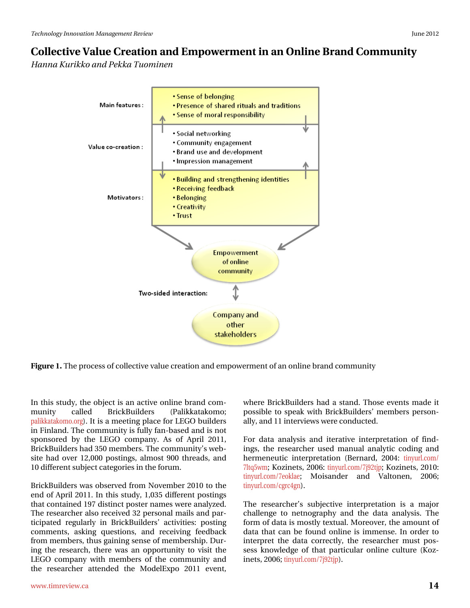### Frochfwlyh#Ydoxh#Fuhdwlrq#dqg#Hpsrzhuphqw#q#dq#Rqdqh#Eudqg#Frppxqlw| Kdqqd#Nx unnr#dqg#Shnnd#/\trp lqhq

Iljxuh#1#Wkh#surfh∨v#i#froohfwlyh#ydoxh#luhdwlrq#dqg#hpsrzhuphqw#i#dq#qolqh#eudqg#frppxqlw|

Lg#wklv#wwxg|/#wkh#remhfw#v#dq#dfwlyh#rqolgh#eudqg#frp0 EufnExloghuw# p xqlw# fdoong# +Sdohndvdnr p r > sdonndwdnr pr truj, t# 1 w# v# d# to hhwlogi#sodfh# ru# OHJ R# exloghuv# lq#lqodqg1#Wkh#frppxqlw|#v#xoo|#dq0edvhg#dqg#v#qrw# vsrqvruhg#e|#wkh#OHJR#frpsdq|#Dv#ri#Dsulc#5344/# EulfnExloghuv#kdg#683#phpehuv1#Wkh#frppxqlw|\*v#zhe0 vlwh#kdg#ryhu#45/333#srvwlgjv/#doprw#<33#wkuhdgv/#dgg# 43#gliihuhqw#xemlfw#dwhjrulhv#q#wkh#ruxp1

Eulfn Exloghuv#z dv#r evhuyhg#urp#Qryhpehu#5343#wr#wkh# hqg#ti#Dsuld#53441#Lq#wklv#wxg|/#4/368#gliihuhqw#srvwlqjv# wkdw #rgwdlghg#4<: #glwwlgfw#srwwhu#gdphv#zhuh#dgdd } hg# Wikh#uhvhduf khu#dovr#uhf hlyhg#65#shuvrqdo#pdlov#dqg#sdu0 whilsdwhg#uhjxoduoj#lq#EulfnExloghuv\*#dfwlylwhv=#srvwlqj# frpp hqw/#dvnlqj#txhvwlrqv/#dqg#uhfhlylqj#ihhgedfn# iurp#phpehuv/#wkxv#jdlqlqj#vhqvh#ri#phpehuvkls1#Gxu0 lqj#wkh#uhvhdufk/#wkhuh#zdv#dq#rssruw.qlw|#wr#ylvlw#wkh# OHJR#frpsdq|#zlwk#phpehuv#ri#wkh#frppxqlw|#dqg# wkh#uhvhdufkhu#dwhqghg#wkh#Prghd-{sr#5344#hyhqw# z khuh#EulfnExloghuv#kdg#d#wdqg1#Wkrvh#hyhqw#pdgh#lw# sr wledn#wr#vshdn#zlwk#EulfnExloghuv\*#phpehuv#shuvrq0 doo)/#dqg#44#qwhuylhzv#zhuh#frqgxfwhg1

Ir u#gdwd#dqdo|vlv#dqg#lwhudwlyh#lqwhusuhwdwlrq#ri#ilqg0 lgi v/#wkh#uhvhduf khu#xvhg#p dqxdo#dqdd wf#frglgi#dqg# khup hq hx wif #lq whus uhwdwir q  $\#$ +Ehuq duq/#5337 $\#$ wq| x udf r p 2 wq| xuof r p 2: hr nach# P r Ivdqghu# dqg# Ydow qhq/# 5339# wiq xuo fr p 2f j uf 7j q, 1#

Wikh#uhvhdufkhu\*v#vxerhfwlyh#lqwhusuhvdwrq#lv#d#pdmu# f kdochqj h#wr#qhwqrjudsk|#dqg#wkh#gdwd#dqdqvlv^#Wkh# irup #ri#gdwd#lv#prwool#wh{wxdo1#Pruhryhu/#wkh#dprxqw#ri# gdwd#wkdw#dq#eh#irxqg#rqdqh#lv#lpphqvh1#Lq#rughu#wr# Iq vhus uhv#vk h#gdvd#fruuhfvo|/#vk h#uhvhdufk hu#p x vv#srv0 vhw#ngrz dngjh#ri#wkdw#sduwlfxodu#rqdgh#fxowsuh#+Nr}0 Iqhw/#5339>#wq|xuofrp2:ma5wna,1#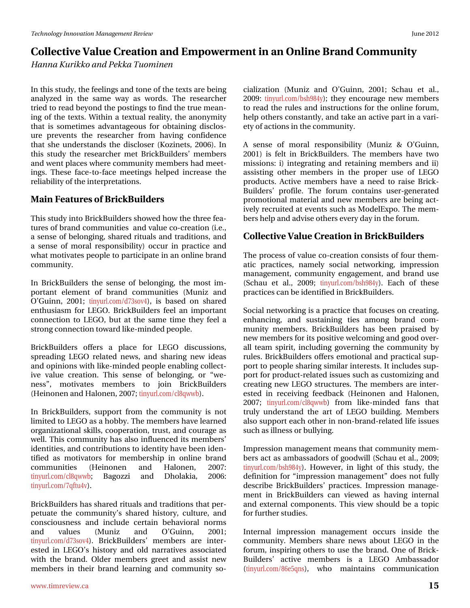# Frochfwlyhn?Ydoxh#Fuhdwlrg#dgg#Hpsrzhuphqw#g#dg#Rgolgh#Eudgg#Frppxglw| Kdggd#Nxulnnr#dgg#Shnnd#Wkrplghg

Lq#wklv#wxgl/#wkh#hhdqiv#dqg#wrqh#i#wkh#wh{w#duh#ehlqi# dqdd } hg#lq#vkh#vdp h#z d| #dv#z r ugv#Vkh#uhvhduf khu# wulhg#wr#uhdg#eh|rqg#wkh#srvwlqjv#wr#ilqg#wkh#wuxh#phdq0 lqj#ri#wkh#wh{wr#Ezlwklq#d#wh{wxdo#uhdolwy/#wkh#dqrq|plw|# wk dw#lv#vrphwlphv#dgydqwdjhrxv#iru#rewdlqlqj#glvforv0 x uh#s uhyhq w# vk h# uhvhduf k hu#i ur p #k dylqj #f r qilghqf h# wkdw#vkh#xqghuvwdqgv#wkh#glvforvhu#+Nr}lqhwv/#5339,1#Lq# wkly#vws.gl#wkh#uhvhdufkhu#phw#EulfnExloghuv\*#phpehuv# dqg#z hqw#sodfhv#z khuh#frppxqlw|#phpehuv#kdg#phhw0 Iqj v#Wkhvh#idfhOwr 0dfh#phhwlqjv#khoshg#lqfuhdvh#wkh# uhddeldw # i #kk h#qwhus uhwdwlr qv1

### P dlg# hdwx uhv# i $#$ ulf n $Ex$ loghuv

Wilv#wxg|#qwr#EulfnExloghuv#vkrzhg#krz#wkh#wkuhh#hd0 wsuhv#i#eudqg#frppxqlwhv#dqg#ydoxh#fr0fuhdwrq#+l1h1/# d#vhqvh#i#ehorqjlqj/#vkduhg#ulwxdov#dqg#wudglwlrqv/#dqg# d#vhqvh#ri#prudd#uhvsrqvleldwl,#rffxu#lq#sudfwlfh#dqg# z k dwp rwlydwhy#shrsoh#wr#sduwlflsdwh#q#dq#qolqh#eudqg# frpp xqlw<sup>1</sup>

Lq#EulfnExloghuv#wkh#vhqvh#ri#ehorqjlqj/#wkh#prvw#lp0 sr wdgw#hohp hqw#ri#eudgg#frpp xqlwhv#+P xql}#dqg# R<sup>\*</sup>J xlqq/#5334*\** Hvg xudf r p 2g: 6vr y7, /#lv#edvhg#r q #vk duhg # hqwkxvldvp#iru#OHJR1#EulfnExloghuv#ihho#dq#lpsruwdqw# fr gghf vir g#wr#OHJR/#exw#dv#wkh#vdph#wiph#wkh|#ihho#d# wur qj#r qqhf whr q#wr z dug#unh0p lqghg#shr soh#

EufnExioghw#riihw#d#sodfh#iru#OHJR#glvfxvvIrqv/# vsuhdalaj #CHJ R#uhodwha#qhz v/#dag#vkdulaj #qhz #lahdv# dqg#slqlrqv#zlvk#bhh0plqghg#shrsch#hqdedqj#frochfv0 lyh#ydoxh#fuhdwrq#Wklv#vhqvh#ri#ehorqjlqj/#ru#‹zh0 qhw<sup>T</sup>/# p r wlydwhv# p hp ehw# wr# mlq# EulfnExloghw# +Khlqrqhq#dqg#Kdorqhq/#533:>#wq|xuofrp2fqtzze,1

Lq#EulfnExloghuv/#vxssruw#iurp#wkh#frppxqlw|#lv#qrw# dp lwhg#w #OHJ R#Jv#J#kree| #AVkh#p hp ehw#kdyh#Jnduqhg# r ujdql}dw'r qdd#vnloov/#frrshudw'r q/#wux vw#dqg#frxudjh#dv# z hoof#Wklv#frppxqlw|#kdv#dovr#qioxhqfhg#tw#phpehuv\*# lghqwWhv/#dqg#rqwdexwrqv#wr#ghqwwl#kdyh#ehhq#ghq0 wilhg#dv#prwydwruv#iru#phpehuvkls#lq#rqdqh#eudqg# frp p xqlwhv#  $+$ Khlqrqhq# dqg# Kdorqhq/# 533:  $\#$ wiq xuofrp 2fgtzze # Edjr}}l# dqg# Gkrodnld/# 5339 # wiq xuoff rp 2: t iwx 7y, 1

EufnExloghuv#kdv#vkduhg#ulwxdov#dqg#wudglwlrqv#wkdw#shu0 shwxdwh#wkh#frppxqlw|\*v#vkduhg#klwwru|/#fxowxuh/#dqg# frqvflrxvqhvv#dqg#lqfoxgh#fhuvdlq#ehkdylrudo#qrupv#  $dqg#$  ydoxhv#  $+P xq$ ]}# dqg# R\*Jxlqq/# 5334# wq|xuofrp2g:6vry7,1#EulfnExloghuv\*#phpehuv#duh#lqwhu0 hwhig#lq#CHJR\*v#klwwru|#dqg#rog#qduudwyhv#dwrfldwhg# z lwk#wkh#eudgg#Roghu#p hp ehuv#j uhhw#dgg#dwlw#ghz# phpehuv#lq#wkhlu#eudqg#ohduqlqj#dqg#frppxqlw|#vr0

 $f$ ldd}dwr q#+P xql}#dqg#R\*J xlqq/#5334:#Vf kdx#hw#ddf# 533<#Mg|xuofrp2evk<;7|,\*Mkh|#hqfrxudjh#qhz#phpehuv# w #uhdg#wkh#uxdhv#dqg#qvwuxfwlrqv#iru#wkh#rqdqh#truxp/# khos#wkhuv#rqwdqwol/#dqg#wdnh#dq#dfwlyh#sduw#q#d#ydul0 hw|#i#dfwlrqv#q#wkh#frppxqlw|1

 $D#$  vhqvh#ri#prudd#uhvsrqvleldw $#+P$  xql}#) #R\*J xlqq/# 5334, #lv#ihow#lq#EulfnExloghuv#Wkh#phpehuv#kdyh#wzr# plwlrqv=#,#qwhjudwlqj#dqg#uhwdlqlqj#phpehuv#dqg#l,# dwlwlqj #r wkhu#p hp ehuv#lq#wkh#surshu#xvh#ri#CHJR# sur gxf w/#Df wlyh#p hp ehw#kdyh#d#qhhg#w #udlvh#Eulfn0 Exightw\*#surildn1#Wkh#iruxp#frqwdlqv#xvhu0jhqhudwhg# surprwtrqdo#pdwhuldo#dqg#qhz#phpehuv#duh#ehlqj#dfw0 lyho #uhfuxlwhg#dw#hyhqw#wxfk#dv#PrghoH{sr1#Mkh#php0 ehuv#k hos#dqg#dgylvh#wk huv#hyhu|#gd|#q#wk h#ruxp 1

### Fr ochf wlyh#Ydoxh#Fuhdwlr q#q#EulfnExloghuv

Wikh#surfhw#ri#ydoxh#fr0fuhdwlrq#frqvlww#ri#frxu#wkhp0 dwf#sudfwfhv/#qdpho|#vrfldc#qhwzrunlqj/#lpsuhwlrq# p dqdj hp hqw#frppxqlw|#hqjdj hp hqw#dqg#eudqg#xvh# + A k dx #hw #dol/#533< #w|q| x u of r p 2evk <; 7|, #Hdf k #r i #wk h vh # sudf wf hv#dq#eh#ghqwilhg#q#Eulf nExloghuv1

Vr fldd#ghwz runiqj#v#d#sudfwlfh#wkdw#irfxvhv#q#fuhdwlqj/# hqkdqflqj/#dqg#vxwodlqlqj#whv#dprqj#eudqg#frp0 p xqlw #p hp ehw #EufnExloghw #kdv #ehhq #sudlvhg #e| # qhz #p hp ehuv#ru#ww#srvlwlyh#z hofrplqj#dqg#jrrg#yhu0 doc#whdp#vslulw#lqfoxglqj#jryhuqlqj#wkh#frppxqlw|#e|# ux ohv#Eulfn Exloghuv#riihuv#hprwlrqdo#dqg#sudfwlfdo#vxs0 sruw#wr#shrsdn#wkdulqj#vlplodu#qwhuhvwr#Lw#qfoxghv#vxs0 sruw#ru#surgxfw2uhodwhg#wxhv#vxfk#dv#xwwrpl}lqj#dqg# f undwigj #qhz #CHJ R#wuxf w.uhv#Wkh#p hp ehuv#duh#lqwhu0 hwhg#lq#uhf hlylqj #ihhgedf n#+K hlqr qhq#dqg#K dor qhq/# 533:  $\#$  wig | x u of r p 2 f q t z z e, # i ur p # d n h O  $\log$  h g  $\log$  # i d q v # wk d v # wuxoj#xqghuwdqg#wkh#duw#ri#OHJR#exloglqj#Phpehuv# dovr#xssruw#ndfk#wkhu#q#qrq0eudqg0uhodwhg#Jih#wxhv# vxfk#dv#looghvv#u#exoo|lqj1

Lp suhwirq#p dqdjhp hqw#p hdqv#wkdw#frppxqlw|#php0 ehuv#dfw#dv#dpedvvdgruv#ri#jrrgzloo#AVfkdx#nw#dol/#533<# wiq xuofrp 2evk<;7|,1#Krz hyhu/#lq#oljkw#ri#wklv#vwxg |/#wkh# ghilqlwirq#iru#lpsuhvvlrq#pdqdjhphqwT#grhv#qrw#xool# ghvf uleh#EulfnExloghuv\*#sudfwlfhv\*#Lp suhvvlrq#p dqdjh0 p hqw#lq#EufnExloghuv#fdq#ylhz hg#dv#kdylqj#lqwhuqdo# dqg#n{whuqdd#frpsrqhqwr#ANklv#ylhz#vkrxog#eh#d#wrslf# ir u#x uwk hu#wx glhv1

Lqwhuqdo#IpsuhwIrq#pdqdjhphqw#rffxuw#IqvIgh#wkh# frpp xqlw #Phpehuv#vkduh#qhzv#derxw#OHJR#lq#wkh# iruxp/#qvslulqj#rwkhuv#wr#xvh#wkh#eudqg1#Rqh#ri#Eulfn0 Exloghu/\*# df wlyh# p hp ehu/# lv# d# CHJ R# Dp edvvdgr u#  $-wq$  x uo f r p 2; 9h8t qv, /# z k r # p dlq vollq v# f r p p x q l f dwh q #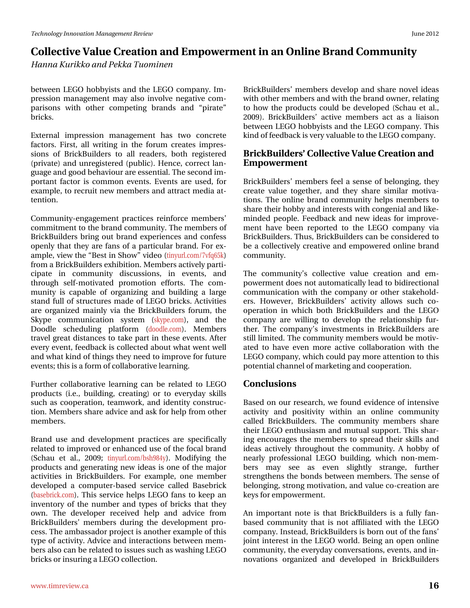# Frochfwlyh#Ydoxh#Fuhdwlrq#dqg#Hpsrzhuphqw#q#dq#Rqdqh#Eudqg#Frppxqlw| Kdggd#Nxulnnr#dgg#Shnnd#Wkrplghg

ehvz hhq#OHJR#kree|lww#dqg#wkh#OHJR#rpsdq|1#Lp0 suhwirg#p dqdj hp hqw#p d|#dovr#lqyroyh#qhjdwlyh#frp0 sdulvrqv#zlwk#rwkhu#frpshwlqj#eudqgv#dqg#‹sludwh™# euf nv#

 $H$ { whuqdo# lp suhw lrq#p dqdjhp hqw#kdv#wzr#frqfuhwh# idfwruw #Hluw#doc#zulwlgj#lq#wkh#iruxp#fuhdwhw#lpsuhv0 vir gv#ri#EufnEximuthu#wr#doo#undghuv/#erwk#uhjlwhung# +sulydwh,#dqg#xquhjlwwhuhg#+sxedf,1#Khqfh/#fruuhfw#odq0 j x dj h#dqg# r r g#ehk dylr x u#duh#hvvhqwldd#Wk h#vhf r qg#p 0 sruwdqw#dfwru#lv#frpprq#hyhqwr#Hyhqwr#duh#xvhg/#iru# h{dp s dn/#w #uhf ux lw#q hz #p hp e huv#dq g#dwwudf w#p hgld#dw0 whqwlrq1

Frpp xqlw Ohqjdjhphqwksudfwlfhv#uhlqirufh#phpehuv\*# frpplwphqw#wr#wkh#eudqg#frppxqlw|#Wkh#phpehuv#i# EufnExloghuv#eulqj#rxw#eudqg#h{shulhqfhv#dqg#frqihvv# r shqoj:#wk.dv#wk.h|#duh#idqv#ri#d#sduwfx.odu#eudqg1#lru#h{0 dp soh/#yihz #wkh#Ehw#jq#Wkrz T#yighr#whg|xuofrp 2: yit 98n, # iurp#d#EulfnExloghuv#h{klelwlrq1#Phpehuv#dfwlyho|#sduwl0 flsdwh#lq#frppxqlw|#glvfxvvlrqv/#lq#hyhqwv/#dqg# wkurxjk#vhoiOprwlydwhg#surprwlrq#hiiruww1#Wkh#frp0 p xqlw|#lv#fdsdedn#ri#rujdql}lqj#dqg#exloglqj#d#odujh# wodgg#xochri#wuxfwxuhv#pdgh#ri#OHJR#eulfnv1#Dfwlylwhv# duh#rujdql}hg#pdlqql#yld#wkh#EulfnExloghuv#iruxp/#wkh# Vn|sh#frppxqlfdwlrq#v|vwhp#+vn|shfrp,/#dqg#wkh# Grrgoh# vfkhgxolqj#sodwirup# +grrgohfrp,#Phpehuv# wdyho#uhdw#glwdqfhv#wr#vdnh#sduw#q#wkhvh#hyhqwr#Diwhu# hyhu #hyhqw#hhgedfn#v#froohfwhg#derxw#zkdw#zhqw#zhoo# dqg#zkdw#nlqg#i#wklqjv#wkh|#ghhg#wr#psuryh#ru#xwxuh# hyhqw:#wklv#v#d#rup#i#rooderudwlyh#bhduqlqj1

I x uwk huff rooder udwlyh#dnduqlqj#fdq#eh#uhodwhg#wr#OHJR# surgxfw#+l1h1/#exloglqj/#fuhdwlqj,#ru#wr#hyhu|gd|#vnloov# vxfk#dv#frrshudwlrq/#whdpzrun/#dqg#lghqwlwy#frqwwuxf0 wh q #P hp ehuv#wkduh#dgylfh#dqg#dvn#ru#khos#urp #wkhu# p hp ehw#

Eudqg#xvh#dqg#ghyhorsphqw#sudfwfhv#duh#vshflilfdool# uhodwhg#wr#psuryhg#u#hqkdqfhg#xvh#i#wkh#rfdo#eudqg# + A k dx #hw # dol/#533< # w| q| x u of r p 2e vk <; 7|, 1# P r gli | lqj # wk h # surgxfw#dqg#jhqhudwlqj#qhz#lghdv#v#rqh#ri#wkh#pdmu# df wlylwhv#lq#EulfnExloghuv#l ru#h{dp soh/#rqh#p hp ehu# ghyhorshg#d#frpsxwhu0edvhg#vhuylfh#fdoohg#Edvheulfn# +edvheufnfrp, 14AVklv#vhuylfh#khosv#OHJR#idqv#wr#nhhs#dq# lqyhqwr u # i#wkh#qxp ehu#dqg#wlshv#ri#eulfnv#wkdw#wkh|# rzq#Wkh#ghyhorshu#uhfhlyhg#khos#dqg#dgylfh#iurp# EulfnExloghuv\*#phpehuv#gxulqj#wkh#ghyhorsphqw#sur0 fhw #10 khttp edwdgru#surmfw#w#dqrwkhu#h{dpsoh#i#wklv# w sh# i#df wlylw #Dgylf h#dqg#qwhudf whr qv#ehwz hhq#p hp 0 ehuv#dovr#dq#eh#uhodwhg#wr#wxhv#vxfk#dv#zdvklqj#OHJR# eulfn v#u#qvxulqj#d#OHJR#lroohfwlrq1

EufnEximuth hp ehw#ghyhors#dqg#vkduh#gryho#ghdv# z lwk# wkhu#b hp ehuv#dqg#z lwk#wkh#eudqg#z qhu/#uhodwlqj# wr#krz#wkh#surgxfw#frxog#eh#ghyhorshg#-Wfkdx#hw#do1/# 533<, #EufnExloghu/\*#df what hp ehu/#df w#dv#d#ddlvr q# ehvz hhq#OHJR#xree|lww#dqg#wkh#OHJR#rpsdq|1#Wklv# nigg#i#hhgedfn#v#yhuj#ydoxdedn#wr#kkh#OHJR#frpsdq|1

#### EulfnExloghuv'#Frochfwlyh#Ydoxh#Fuhdwlrq#dqq#  $H$ p srzhup hqw#

EufnExloghu/\*#p hp ehu/#ihho#d#vhqvh#ri#ehorqjlqj/#wkh|# f uhdwh#ydoxh#wr j hwkhu/#dqg#wkh| #vkduh#vlp lodu#p r wlyd0 who qv# Wkh#r qdqh#eudqg#frppxqlw|#khosv#phpehuv#wr# vkduh#wkhlu#kree|#dqg#qwhuhvw#zlwk#frqjhqldd#dqg#bhh0 plgghg#shrsoht#hhgedfn#dgg#ghz#lghdv#iru#lpsuryh0 p hqw#kdyh#ehhq#uhsruwhg#wr#wkh#OHJR#frpsdq|#yld# EufnExloghu/#Mkxv/#EufnExloghuv#dq#eh#rqvlghuhg#wr# eh#d#frootfwlyhol#fuhdwlyh#dqg#hpsrzhuhg#rqdqh#eudqg# frpp xqlw<sup>1</sup>

Wikh#frppxqlw|\*v#froohfwlyh#ydoxh#fuhdwlrq#dqg#hp0 srzhup hqw#grhv#grw#dxwrpdwfdool#bhdg#wr#elgluhfwrqdo# frppxqlfdwlrq#zlwk#wkh#frpsdq|#ru#rwk.hu#wodnhkrog0 hu/#Krzhyhu/#EulfnExloghu/\*#dfwlylw/#doorzy#vxfk#fr0 rshudwirq#lq#zklfk#erwk#EulfnExloghuv#dqg#wkh#OHJR# frp sdq|#duh#zloolgj#wr#ghyhors#wkh#uhodwlrqvkls#ixu0 wkhut#Wkh#frpsdq|\*v#lqyhvwphqwr#lq#EulfnExloghuv#duh# ww.co#bplwhg1#Wkh#frppxqlw|#phpehuv#zrxog#eh#prwly0 dwhg#wr#kdyh#hyhq#pruh#dfwlyh#frooderudwlrq#zlwk#wkh# OHJR#frpsdq|/#zklfk#frxog#sd|#pruh#dwwhqwlrq#wr#wklv# sr vhqwldd#kdqqhd#i#p dunhwlqj#dqg#rrshudwlrq1#

### Frqfoxvlrqv

Edvhg# q#  $x$ u#uhvhduf k/#z h#r  $x$ qg#nylghqf h#r i#qwhqvlyh# dfwlylw|#dqg#srvlwlylw|#zlwklq#dq#rqdqh#frppxqlw|# f dochg#EufnExloghuv#Wkh#frppxqlw|#phpehuv#vkduh# wkhlu#OHJR#nqwkxvldvp#dqg#pxwxdo#vxssruw#AWklv#wkdu0 lqj #hqfrxudj hv#wkh#phpehuv#wr#vsuhdg#wkhlu#vnloov#dqg# Ighdv#dfwlyhol#wkurxjkrxw#wkh#frppxqlwl1#D#kreel#ri# ghdu) #surihwlrgdd#CHJR#exloglgj/#zklfk#grgOphp0 ehuw# p d| # vhh# dv# hyhq# vdj kvo # vvudqj h/# ixuwkhu# wuhqj wkhqv#wkh#erqgv#ehwzhhq#phpehuv#Wkh#vhqvh#ri# ehor qj Iqj /#wur qj #p r wlydwlr q/#dqg#ydoxh#f r 0f uhdwlr q#duh# nh v#r u#p sr z hup hq vi

Dq#lpsruwdqw#qrwh#lv#wkdw#EulfnExloghuv#lv#d#ixoo|#idq0 edvhg#frppxqlw|#wkdw#lv#qrw#diiloldwhg#zlwk#wkh#OHJR# frp sdq| #Lqvvhdg/#Eulfn Exloghuv#lv#eruq#xw#i#wkh#dqv\*# mlqw#qwhuhvw#q#wkh#OHJR#zruog1#Ehlqj#dq#rshq#rqdqh# frpp xqlw/#wkh#hyhu|gd|#rqyhuvdwrqv/#hyhqw/#dqg#q0 qr ydw'r qv#r uj dql}hg#dqg#ghyhorshg#lq#EulfnExloghuv#